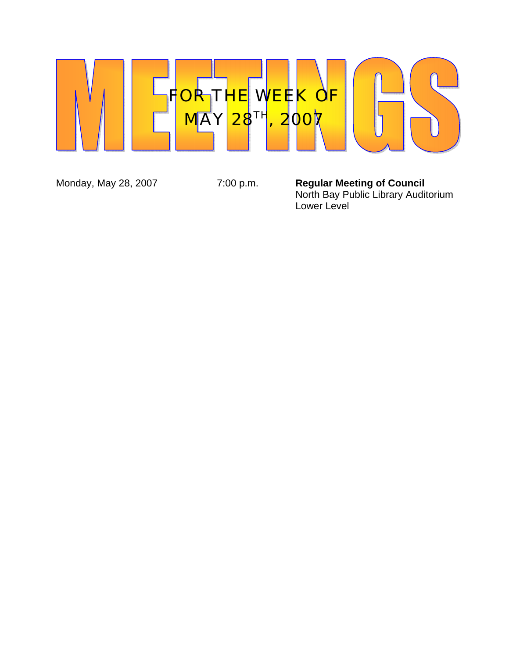

Monday, May 28, 2007 **7:00 p.m. Regular Meeting of Council**  North Bay Public Library Auditorium Lower Level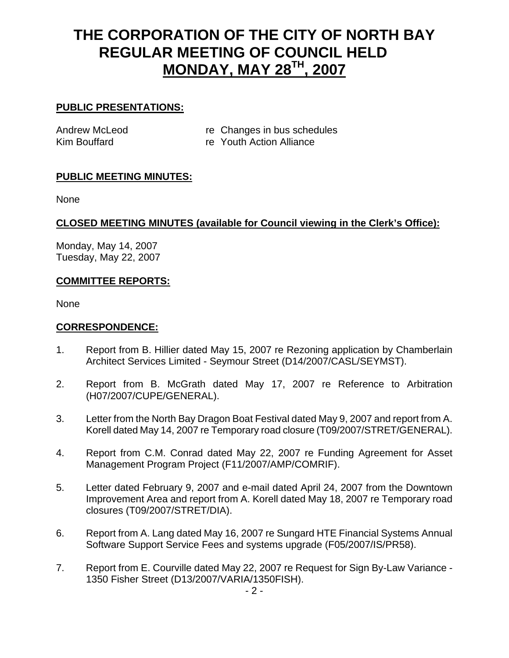# **THE CORPORATION OF THE CITY OF NORTH BAY REGULAR MEETING OF COUNCIL HELD MONDAY, MAY 28TH, 2007**

#### **PUBLIC PRESENTATIONS:**

Andrew McLeod re Changes in bus schedules Kim Bouffard **Reference** re Youth Action Alliance

#### **PUBLIC MEETING MINUTES:**

None

#### **CLOSED MEETING MINUTES (available for Council viewing in the Clerk's Office):**

Monday, May 14, 2007 Tuesday, May 22, 2007

#### **COMMITTEE REPORTS:**

None

#### **CORRESPONDENCE:**

- 1. Report from B. Hillier dated May 15, 2007 re Rezoning application by Chamberlain Architect Services Limited - Seymour Street (D14/2007/CASL/SEYMST).
- 2. Report from B. McGrath dated May 17, 2007 re Reference to Arbitration (H07/2007/CUPE/GENERAL).
- 3. Letter from the North Bay Dragon Boat Festival dated May 9, 2007 and report from A. Korell dated May 14, 2007 re Temporary road closure (T09/2007/STRET/GENERAL).
- 4. Report from C.M. Conrad dated May 22, 2007 re Funding Agreement for Asset Management Program Project (F11/2007/AMP/COMRIF).
- 5. Letter dated February 9, 2007 and e-mail dated April 24, 2007 from the Downtown Improvement Area and report from A. Korell dated May 18, 2007 re Temporary road closures (T09/2007/STRET/DIA).
- 6. Report from A. Lang dated May 16, 2007 re Sungard HTE Financial Systems Annual Software Support Service Fees and systems upgrade (F05/2007/IS/PR58).
- 7. Report from E. Courville dated May 22, 2007 re Request for Sign By-Law Variance 1350 Fisher Street (D13/2007/VARIA/1350FISH).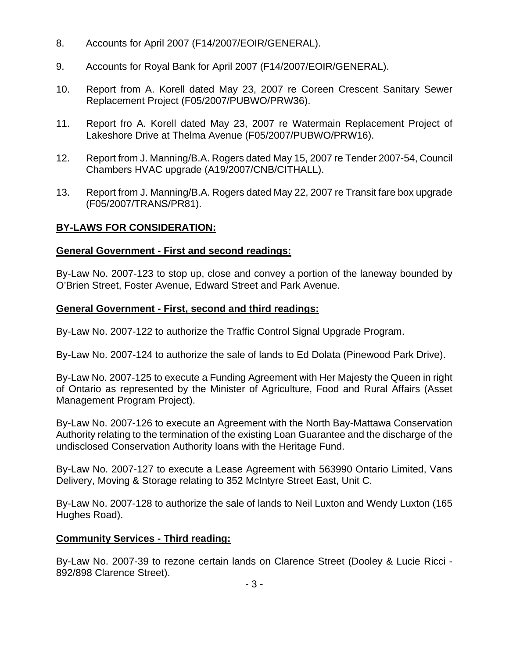- 8. Accounts for April 2007 (F14/2007/EOIR/GENERAL).
- 9. Accounts for Royal Bank for April 2007 (F14/2007/EOIR/GENERAL).
- 10. Report from A. Korell dated May 23, 2007 re Coreen Crescent Sanitary Sewer Replacement Project (F05/2007/PUBWO/PRW36).
- 11. Report fro A. Korell dated May 23, 2007 re Watermain Replacement Project of Lakeshore Drive at Thelma Avenue (F05/2007/PUBWO/PRW16).
- 12. Report from J. Manning/B.A. Rogers dated May 15, 2007 re Tender 2007-54, Council Chambers HVAC upgrade (A19/2007/CNB/CITHALL).
- 13. Report from J. Manning/B.A. Rogers dated May 22, 2007 re Transit fare box upgrade (F05/2007/TRANS/PR81).

## **BY-LAWS FOR CONSIDERATION:**

## **General Government - First and second readings:**

By-Law No. 2007-123 to stop up, close and convey a portion of the laneway bounded by O'Brien Street, Foster Avenue, Edward Street and Park Avenue.

## **General Government - First, second and third readings:**

By-Law No. 2007-122 to authorize the Traffic Control Signal Upgrade Program.

By-Law No. 2007-124 to authorize the sale of lands to Ed Dolata (Pinewood Park Drive).

By-Law No. 2007-125 to execute a Funding Agreement with Her Majesty the Queen in right of Ontario as represented by the Minister of Agriculture, Food and Rural Affairs (Asset Management Program Project).

By-Law No. 2007-126 to execute an Agreement with the North Bay-Mattawa Conservation Authority relating to the termination of the existing Loan Guarantee and the discharge of the undisclosed Conservation Authority loans with the Heritage Fund.

By-Law No. 2007-127 to execute a Lease Agreement with 563990 Ontario Limited, Vans Delivery, Moving & Storage relating to 352 McIntyre Street East, Unit C.

By-Law No. 2007-128 to authorize the sale of lands to Neil Luxton and Wendy Luxton (165 Hughes Road).

## **Community Services - Third reading:**

By-Law No. 2007-39 to rezone certain lands on Clarence Street (Dooley & Lucie Ricci - 892/898 Clarence Street).